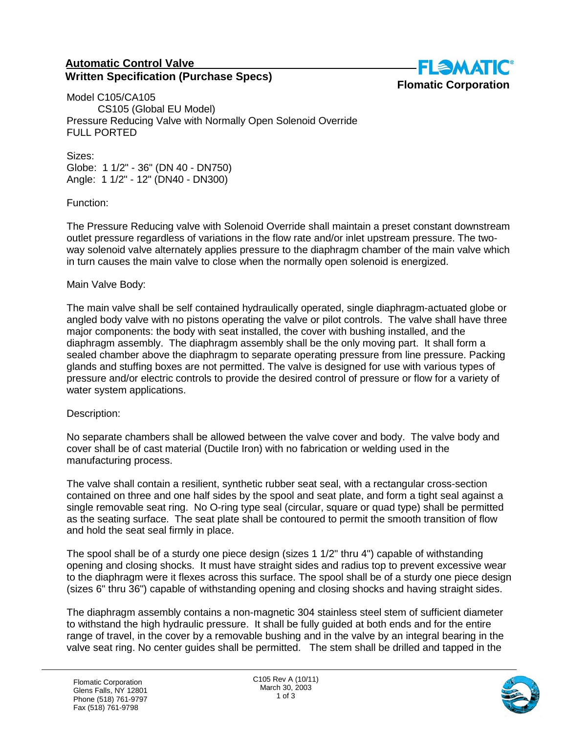## **Automatic Control Valve Written Specification (Purchase Specs)**



Model C105/CA105 CS105 (Global EU Model) Pressure Reducing Valve with Normally Open Solenoid Override FULL PORTED

Sizes: Globe: 1 1/2" - 36" (DN 40 - DN750) Angle: 1 1/2" - 12" (DN40 - DN300)

Function:

The Pressure Reducing valve with Solenoid Override shall maintain a preset constant downstream outlet pressure regardless of variations in the flow rate and/or inlet upstream pressure. The twoway solenoid valve alternately applies pressure to the diaphragm chamber of the main valve which in turn causes the main valve to close when the normally open solenoid is energized.

## Main Valve Body:

The main valve shall be self contained hydraulically operated, single diaphragm-actuated globe or angled body valve with no pistons operating the valve or pilot controls. The valve shall have three major components: the body with seat installed, the cover with bushing installed, and the diaphragm assembly. The diaphragm assembly shall be the only moving part. It shall form a sealed chamber above the diaphragm to separate operating pressure from line pressure. Packing glands and stuffing boxes are not permitted. The valve is designed for use with various types of pressure and/or electric controls to provide the desired control of pressure or flow for a variety of water system applications.

## Description:

No separate chambers shall be allowed between the valve cover and body. The valve body and cover shall be of cast material (Ductile Iron) with no fabrication or welding used in the manufacturing process.

The valve shall contain a resilient, synthetic rubber seat seal, with a rectangular cross-section contained on three and one half sides by the spool and seat plate, and form a tight seal against a single removable seat ring. No O-ring type seal (circular, square or quad type) shall be permitted as the seating surface. The seat plate shall be contoured to permit the smooth transition of flow and hold the seat seal firmly in place.

The spool shall be of a sturdy one piece design (sizes 1 1/2" thru 4") capable of withstanding opening and closing shocks. It must have straight sides and radius top to prevent excessive wear to the diaphragm were it flexes across this surface. The spool shall be of a sturdy one piece design (sizes 6" thru 36") capable of withstanding opening and closing shocks and having straight sides.

The diaphragm assembly contains a non-magnetic 304 stainless steel stem of sufficient diameter to withstand the high hydraulic pressure. It shall be fully guided at both ends and for the entire range of travel, in the cover by a removable bushing and in the valve by an integral bearing in the valve seat ring. No center guides shall be permitted. The stem shall be drilled and tapped in the

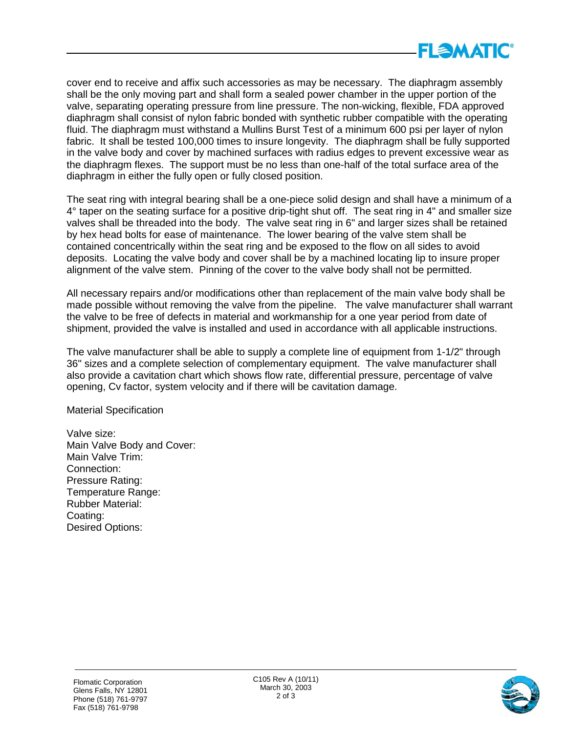

cover end to receive and affix such accessories as may be necessary. The diaphragm assembly shall be the only moving part and shall form a sealed power chamber in the upper portion of the valve, separating operating pressure from line pressure. The non-wicking, flexible, FDA approved diaphragm shall consist of nylon fabric bonded with synthetic rubber compatible with the operating fluid. The diaphragm must withstand a Mullins Burst Test of a minimum 600 psi per layer of nylon fabric. It shall be tested 100,000 times to insure longevity. The diaphragm shall be fully supported in the valve body and cover by machined surfaces with radius edges to prevent excessive wear as the diaphragm flexes. The support must be no less than one-half of the total surface area of the diaphragm in either the fully open or fully closed position.

The seat ring with integral bearing shall be a one-piece solid design and shall have a minimum of a 4° taper on the seating surface for a positive drip-tight shut off. The seat ring in 4" and smaller size valves shall be threaded into the body. The valve seat ring in 6" and larger sizes shall be retained by hex head bolts for ease of maintenance. The lower bearing of the valve stem shall be contained concentrically within the seat ring and be exposed to the flow on all sides to avoid deposits. Locating the valve body and cover shall be by a machined locating lip to insure proper alignment of the valve stem. Pinning of the cover to the valve body shall not be permitted.

All necessary repairs and/or modifications other than replacement of the main valve body shall be made possible without removing the valve from the pipeline. The valve manufacturer shall warrant the valve to be free of defects in material and workmanship for a one year period from date of shipment, provided the valve is installed and used in accordance with all applicable instructions.

The valve manufacturer shall be able to supply a complete line of equipment from 1-1/2" through 36" sizes and a complete selection of complementary equipment. The valve manufacturer shall also provide a cavitation chart which shows flow rate, differential pressure, percentage of valve opening, Cv factor, system velocity and if there will be cavitation damage.

Material Specification

Valve size: Main Valve Body and Cover: Main Valve Trim: Connection: Pressure Rating: Temperature Range: Rubber Material: Coating: Desired Options: